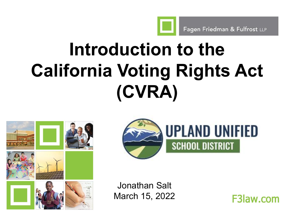Fagen Friedman & Fulfrost LLP

## **Introduction to the California Voting Rights Act (CVRA)**





Jonathan Salt March 15, 2022

**F3law.com**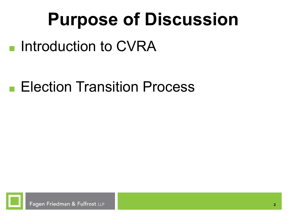## **Purpose of Discussion**

■ Introduction to CVRA

■ Election Transition Process

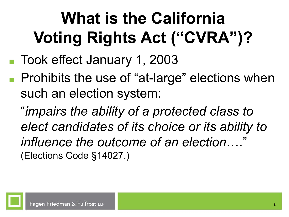### **What is the California Voting Rights Act ("CVRA")?**

- Took effect January 1, 2003
- Prohibits the use of "at-large" elections when such an election system:

"*impairs the ability of a protected class to elect candidates of its choice or its ability to influence the outcome of an election*…." (Elections Code §14027.)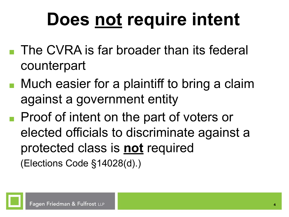## **Does not require intent**

- The CVRA is far broader than its federal counterpart
- Much easier for a plaintiff to bring a claim against a government entity
- Proof of intent on the part of voters or elected officials to discriminate against a protected class is **not** required (Elections Code §14028(d).)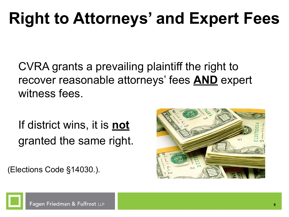#### **Right to Attorneys' and Expert Fees**

CVRA grants a prevailing plaintiff the right to recover reasonable attorneys' fees **AND** expert witness fees.

If district wins, it is **not** granted the same right.

(Elections Code §14030.).



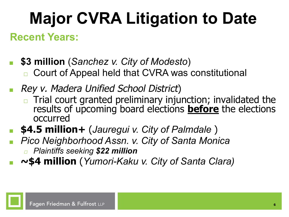## **Major CVRA Litigation to Date**

#### **Recent Years:**

- **■ \$3 million** (*Sanchez v. City of Modesto*) ◻ Court of Appeal held that CVRA was constitutional
- *■* Rey v. Madera Unified School District)
	- $\Box$  Trial court granted preliminary injunction; invalidated the results of upcoming board elections **before** the elections occurred
- **■ \$4.5 million+** (*Jauregui v. City of Palmdale* )
- *■ Pico Neighborhood Assn. v. City of Santa Monica* <sup>◻</sup> *Plaintiffs seeking \$22 million*
- **■ ~\$4 million** (*Yumori-Kaku v. City of Santa Clara)*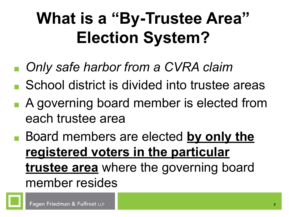### **What is a "By-Trustee Area" Election System?**

- *Only safe harbor from a CVRA claim*
- School district is divided into trustee areas
- A governing board member is elected from each trustee area
- Board members are elected **by only the registered voters in the particular trustee area** where the governing board member resides

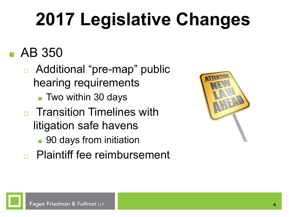## **2017 Legislative Changes**

#### ■ AB 350

- ◻ Additional "pre-map" public hearing requirements
	- Two within 30 days
- **Transition Timelines with** litigation safe havens
	- 90 days from initiation
- ◻ Plaintiff fee reimbursement

| ATTENT |
|--------|
|        |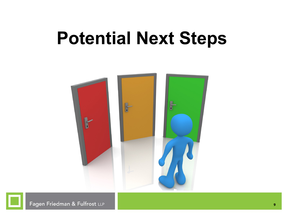#### **Potential Next Steps**



Fagen Friedman & Fulfrost LLP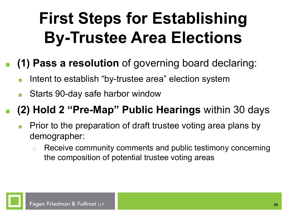### **First Steps for Establishing By-Trustee Area Elections**

#### **■ (1) Pass a resolution** of governing board declaring:

- Intent to establish "by-trustee area" election system
- Starts 90-day safe harbor window

#### **■ (2) Hold 2 "Pre-Map" Public Hearings** within 30 days

- Prior to the preparation of draft trustee voting area plans by demographer:
	- **□** Receive community comments and public testimony concerning the composition of potential trustee voting areas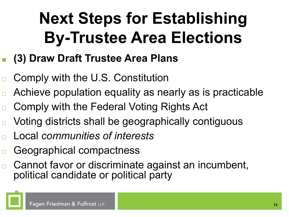### **Next Steps for Establishing By-Trustee Area Elections**

- **■ (3) Draw Draft Trustee Area Plans**
- ◻ Comply with the U.S. Constitution
- ◻ Achieve population equality as nearly as is practicable
- ◻ Comply with the Federal Voting Rights Act
- ◻ Voting districts shall be geographically contiguous
- ◻ Local *communities of interests*
- ◻ Geographical compactness
- ◻ Cannot favor or discriminate against an incumbent, political candidate or political party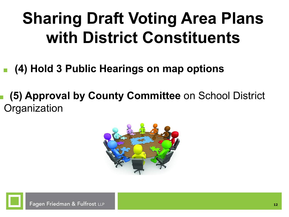#### **Sharing Draft Voting Area Plans with District Constituents**

- **■ (4) Hold 3 Public Hearings on map options**
- **■ (5) Approval by County Committee** on School District **Organization**

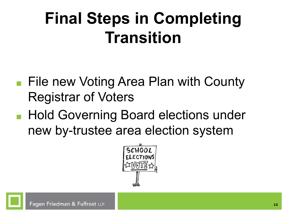#### **Final Steps in Completing Transition**

- File new Voting Area Plan with County Registrar of Voters
- Hold Governing Board elections under new by-trustee area election system

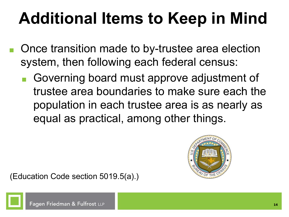### **Additional Items to Keep in Mind**

- Once transition made to by-trustee area election system, then following each federal census:
	- Governing board must approve adjustment of trustee area boundaries to make sure each the population in each trustee area is as nearly as equal as practical, among other things.



(Education Code section 5019.5(a).)

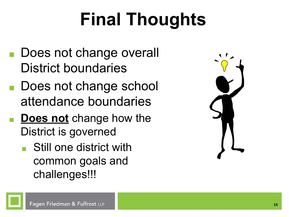# **Final Thoughts**

- Does not change overall District boundaries
- Does not change school attendance boundaries
- **Does not** change how the District is governed
	- Still one district with common goals and challenges!!!